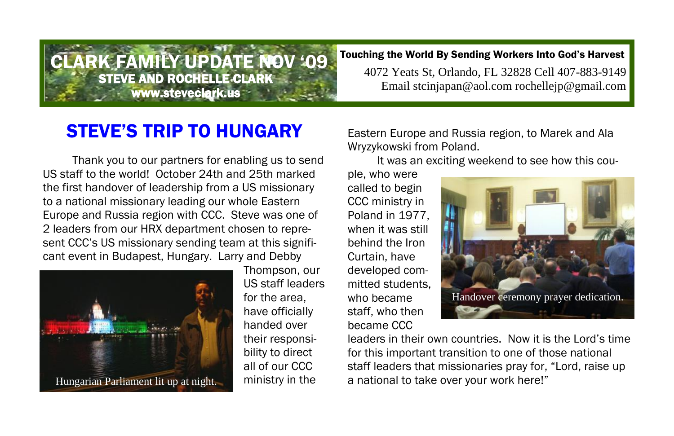## ARK FAMILY UPDATE NOV '09 Touching the World By Sending Workers Into God's Harvest

4072 Yeats St, Orlando, FL 32828 Cell 407-883-9149 Email stcinjapan@aol.com rochellejp@gmail.com

## **STEVE'S TRIP TO HUNGARY** Eastern Europe and Russia region, to Marek and Ala

STEVE AND ROCHELLE CLARK www.steveclark.us

Thank you to our partners for enabling us to send US staff to the world! October 24th and 25th marked the first handover of leadership from a US missionary to a national missionary leading our whole Eastern Europe and Russia region with CCC. Steve was one of 2 leaders from our HRX department chosen to represent CCC's US missionary sending team at this significant event in Budapest, Hungary. Larry and Debby



Thompson, our US staff leaders for the area, have officially handed over their responsibility to direct all of our CCC ministry in the

Wryzykowski from Poland.

It was an exciting weekend to see how this cou-

ple, who were called to begin CCC ministry in Poland in 1977, when it was still behind the Iron Curtain, have developed committed students, who became staff, who then became CCC



leaders in their own countries. Now it is the Lord's time for this important transition to one of those national staff leaders that missionaries pray for, "Lord, raise up Hungarian Parliament lit up at night. a ministry in the a national to take over your work here!"